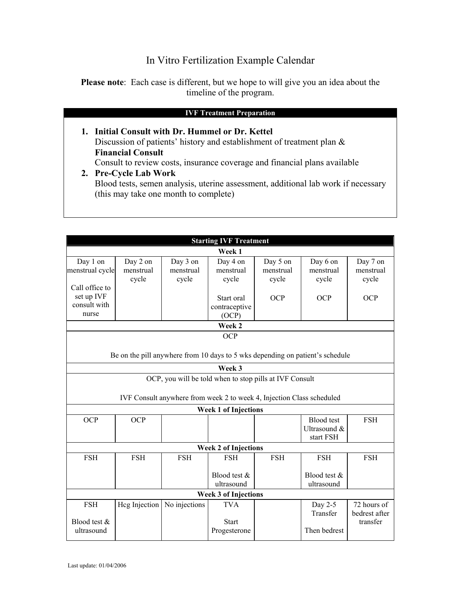## In Vitro Fertilization Example Calendar

**Please note**: Each case is different, but we hope to will give you an idea about the timeline of the program.

**1. Initial Consult with Dr. Hummel or Dr. Kettel**  Discussion of patients' history and establishment of treatment plan & **Financial Consult**  Consult to review costs, insurance coverage and financial plans available

# **2. Pre-Cycle Lab Work**  Blood tests, semen analysis, uterine assessment, additional lab work if necessary (this may take one month to complete)

| <b>Starting IVF Treatment</b>                                                                                                    |                                |                                |                                            |                                |                                                |                                          |
|----------------------------------------------------------------------------------------------------------------------------------|--------------------------------|--------------------------------|--------------------------------------------|--------------------------------|------------------------------------------------|------------------------------------------|
| Week 1                                                                                                                           |                                |                                |                                            |                                |                                                |                                          |
| Day 1 on<br>menstrual cycle                                                                                                      | Day 2 on<br>menstrual<br>cycle | Day 3 on<br>menstrual<br>cycle | Day 4 on<br>menstrual<br>cycle             | Day 5 on<br>menstrual<br>cycle | Day 6 on<br>menstrual<br>cycle                 | Day 7 on<br>menstrual<br>cycle           |
| Call office to<br>set up IVF<br>consult with<br>nurse                                                                            |                                |                                | Start oral<br>contraceptive<br>(OCP)       | <b>OCP</b>                     | <b>OCP</b>                                     | OCP                                      |
| Week 2                                                                                                                           |                                |                                |                                            |                                |                                                |                                          |
| <b>OCP</b><br>Be on the pill anywhere from 10 days to 5 wks depending on patient's schedule                                      |                                |                                |                                            |                                |                                                |                                          |
| Week 3                                                                                                                           |                                |                                |                                            |                                |                                                |                                          |
| OCP, you will be told when to stop pills at IVF Consult<br>IVF Consult anywhere from week 2 to week 4, Injection Class scheduled |                                |                                |                                            |                                |                                                |                                          |
| <b>Week 1 of Injections</b>                                                                                                      |                                |                                |                                            |                                |                                                |                                          |
| <b>OCP</b>                                                                                                                       | <b>OCP</b>                     |                                |                                            |                                | <b>Blood</b> test<br>Ultrasound &<br>start FSH | <b>FSH</b>                               |
| <b>Week 2 of Injections</b>                                                                                                      |                                |                                |                                            |                                |                                                |                                          |
| <b>FSH</b>                                                                                                                       | <b>FSH</b>                     | <b>FSH</b>                     | <b>FSH</b>                                 | <b>FSH</b>                     | <b>FSH</b>                                     | <b>FSH</b>                               |
|                                                                                                                                  |                                |                                | Blood test &<br>ultrasound                 |                                | Blood test &<br>ultrasound                     |                                          |
| <b>Week 3 of Injections</b>                                                                                                      |                                |                                |                                            |                                |                                                |                                          |
| <b>FSH</b><br>Blood test &<br>ultrasound                                                                                         | Hcg Injection                  | No injections                  | <b>TVA</b><br><b>Start</b><br>Progesterone |                                | Day 2-5<br>Transfer<br>Then bedrest            | 72 hours of<br>bedrest after<br>transfer |
|                                                                                                                                  |                                |                                |                                            |                                |                                                |                                          |